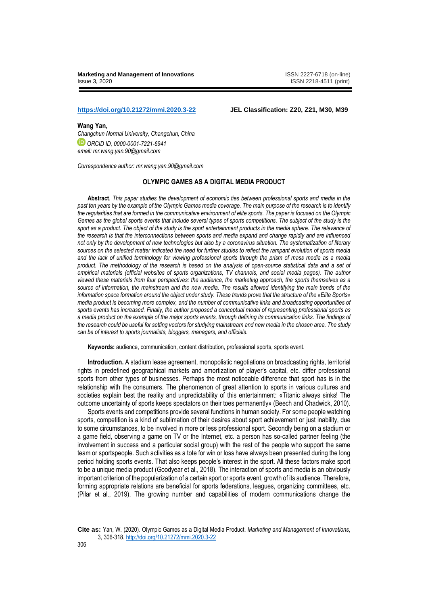## **<https://doi.org/10.21272/mmi.2020.3-22> JEL Classification: Z20, Z21, M30, M39**

**Wang Yan,** 

*Changchun Normal University, Changchun, China ORCID ID, 0000-0001-7221-6941 email: mr.wang.yan.90@gmail.com*

*Correspondence author: mr.wang.yan.90@gmail.com*

# **OLYMPIC GAMES AS A DIGITAL MEDIA PRODUCT**

**Abstract***. This paper studies the development of economic ties between professional sports and media in the past ten years by the example of the Olympic Games media coverage. The main purpose of the research is to identify the regularities that are formed in the communicative environment of elite sports. The paper is focused on the Olympic Games as the global sports events that include several types of sports competitions. The subject of the study is the*  sport as a product. The object of the study is the sport entertainment products in the media sphere. The relevance of *the research is that the interconnections between sports and media expand and change rapidly and are influenced not only by the development of new technologies but also by a coronavirus situation. The systematization of literary sources on the selected matter indicated the need for further studies to reflect the rampant evolution of sports media and the lack of unified terminology for viewing professional sports through the prism of mass media as a media product. The methodology of the research is based on the analysis of open-source statistical data and a set of empirical materials (official websites of sports organizations, TV channels, and social media pages). The author viewed these materials from four perspectives: the audience, the marketing approach, the sports themselves as a source of information, the mainstream and the new media. The results allowed identifying the main trends of the information space formation around the object under study. These trends prove that the structure of the «Elite Sports» media product is becoming more complex, and the number of communicative links and broadcasting opportunities of sports events has increased. Finally, the author proposed a conceptual model of representing professional sports as a media product on the example of the major sports events, through defining its communication links. The findings of the research could be useful for setting vectors for studying mainstream and new media in the chosen area. The study can be of interest to sports journalists, bloggers, managers, and officials.*

**Keywords:** audience, communication, content distribution, professional sports, sports event.

**Introduction.** A stadium lease agreement, monopolistic negotiations on broadcasting rights, territorial rights in predefined geographical markets and amortization of player's capital, etc. differ professional sports from other types of businesses. Perhaps the most noticeable difference that sport has is in the relationship with the consumers. The phenomenon of great attention to sports in various cultures and societies explain best the reality and unpredictability of this entertainment: «Titanic always sinks! The outcome uncertainty of sports keeps spectators on their toes permanently» (Beech and Chadwick, 2010).

Sports events and competitions provide several functions in human society. For some people watching sports, competition is a kind of sublimation of their desires about sport achievement or just inability, due to some circumstances, to be involved in more or less professional sport. Secondly being on a stadium or a game field, observing a game on TV or the Internet, etc. a person has so-called partner feeling (the involvement in success and a particular social group) with the rest of the people who support the same team or sportspeople. Such activities as a tote for win or loss have always been presented during the long period holding sports events. That also keeps people's interest in the sport. All these factors make sport to be a unique media product (Goodyear et al., 2018). The interaction of sports and media is an obviously important criterion of the popularization of a certain sport or sports event, growth of its audience. Therefore, forming appropriate relations are beneficial for sports federations, leagues, organizing committees, etc. (Pilar et al., 2019). The growing number and capabilities of modern communications change the

**Cite as:** Yan, W. (2020). Olympic Games as a Digital Media Product. *Marketing and Management of Innovations*, 3, 306-318. <http://doi.org/10.21272/mmi.2020.3-22>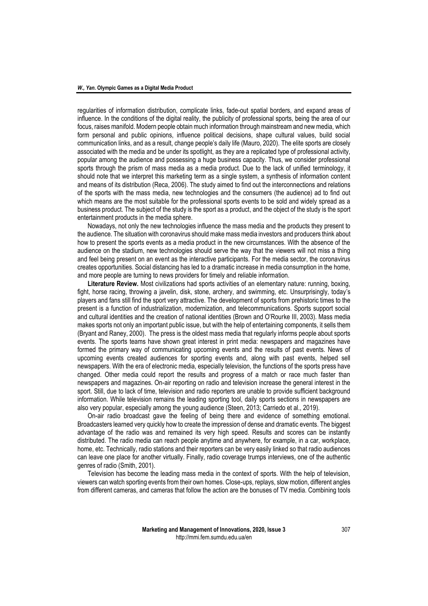regularities of information distribution, complicate links, fade-out spatial borders, and expand areas of influence. In the conditions of the digital reality, the publicity of professional sports, being the area of our focus, raises manifold. Modern people obtain much information through mainstream and new media, which form personal and public opinions, influence political decisions, shape cultural values, build social communication links, and as a result, change people's daily life (Mauro, 2020). The elite sports are closely associated with the media and be under its spotlight, as they are a replicated type of professional activity, popular among the audience and possessing a huge business capacity. Thus, we consider professional sports through the prism of mass media as a media product. Due to the lack of unified terminology, it should note that we interpret this marketing term as a single system, a synthesis of information content and means of its distribution (Reca, 2006). The study aimed to find out the interconnections and relations of the sports with the mass media, new technologies and the consumers (the audience) ad to find out which means are the most suitable for the professional sports events to be sold and widely spread as a business product. The subject of the study is the sport as a product, and the object of the study is the sport entertainment products in the media sphere.

Nowadays, not only the new technologies influence the mass media and the products they present to the audience. The situation with coronavirus should make mass media investors and producers think about how to present the sports events as a media product in the new circumstances. With the absence of the audience on the stadium, new technologies should serve the way that the viewers will not miss a thing and feel being present on an event as the interactive participants. For the media sector, the coronavirus creates opportunities. Social distancing has led to a dramatic increase in media consumption in the home, and more people are turning to news providers for timely and reliable information.

**Literature Review.** Most civilizations had sports activities of an elementary nature: running, boxing, fight, horse racing, throwing a javelin, disk, stone, archery, and swimming, etc. Unsurprisingly, today's players and fans still find the sport very attractive. The development of sports from prehistoric times to the present is a function of industrialization, modernization, and telecommunications. Sports support social and cultural identities and the creation of national identities (Brown and O'Rourke III, 2003). Mass media makes sports not only an important public issue, but with the help of entertaining components, it sells them (Bryant and Raney, 2000). The press is the oldest mass media that regularly informs people about sports events. The sports teams have shown great interest in print media: newspapers and magazines have formed the primary way of communicating upcoming events and the results of past events. News of upcoming events created audiences for sporting events and, along with past events, helped sell newspapers. With the era of electronic media, especially television, the functions of the sports press have changed. Other media could report the results and progress of a match or race much faster than newspapers and magazines. On-air reporting on radio and television increase the general interest in the sport. Still, due to lack of time, television and radio reporters are unable to provide sufficient background information. While television remains the leading sporting tool, daily sports sections in newspapers are also very popular, especially among the young audience (Steen, 2013; Carriedo et al., 2019).

On-air radio broadcast gave the feeling of being there and evidence of something emotional. Broadcasters learned very quickly how to create the impression of dense and dramatic events. The biggest advantage of the radio was and remained its very high speed. Results and scores can be instantly distributed. The radio media can reach people anytime and anywhere, for example, in a car, workplace, home, etc. Technically, radio stations and their reporters can be very easily linked so that radio audiences can leave one place for another virtually. Finally, radio coverage trumps interviews, one of the authentic genres of radio (Smith, 2001).

Television has become the leading mass media in the context of sports. With the help of television, viewers can watch sporting events from their own homes. Close-ups, replays, slow motion, different angles from different cameras, and cameras that follow the action are the bonuses of TV media. Combining tools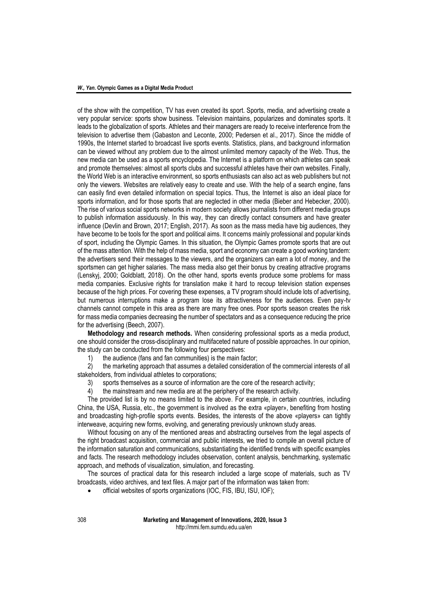of the show with the competition, TV has even created its sport. Sports, media, and advertising create a very popular service: sports show business. Television maintains, popularizes and dominates sports. It leads to the globalization of sports. Athletes and their managers are ready to receive interference from the television to advertise them (Gabaston and Leconte, 2000; Pedersen et al., 2017). Since the middle of 1990s, the Internet started to broadcast live sports events. Statistics, plans, and background information can be viewed without any problem due to the almost unlimited memory capacity of the Web. Thus, the new media can be used as a sports encyclopedia. The Internet is a platform on which athletes can speak and promote themselves: almost all sports clubs and successful athletes have their own websites. Finally, the World Web is an interactive environment, so sports enthusiasts can also act as web publishers but not only the viewers. Websites are relatively easy to create and use. With the help of a search engine, fans can easily find even detailed information on special topics. Thus, the Internet is also an ideal place for sports information, and for those sports that are neglected in other media (Bieber and Hebecker, 2000). The rise of various social sports networks in modern society allows journalists from different media groups to publish information assiduously. In this way, they can directly contact consumers and have greater influence (Devlin and Brown, 2017; English, 2017). As soon as the mass media have big audiences, they have become to be tools for the sport and political aims. It concerns mainly professional and popular kinds of sport, including the Olympic Games. In this situation, the Olympic Games promote sports that are out of the mass attention. With the help of mass media, sport and economy can create a good working tandem: the advertisers send their messages to the viewers, and the organizers can earn a lot of money, and the sportsmen can get higher salaries. The mass media also get their bonus by creating attractive programs (Lenskyj, 2000; Goldblatt, 2018). On the other hand, sports events produce some problems for mass media companies. Exclusive rights for translation make it hard to recoup television station expenses because of the high prices. For covering these expenses, a TV program should include lots of advertising, but numerous interruptions make a program lose its attractiveness for the audiences. Even pay-tv channels cannot compete in this area as there are many free ones. Poor sports season creates the risk for mass media companies decreasing the number of spectators and as a consequence reducing the price for the advertising (Beech, 2007).

**Methodology and research methods.** When considering professional sports as a media product, one should consider the cross-disciplinary and multifaceted nature of possible approaches. In our opinion, the study can be conducted from the following four perspectives:

1) the audience (fans and fan communities) is the main factor;

2) the marketing approach that assumes a detailed consideration of the commercial interests of all stakeholders, from individual athletes to corporations;

3) sports themselves as a source of information are the core of the research activity;

4) the mainstream and new media are at the periphery of the research activity.

The provided list is by no means limited to the above. For example, in certain countries, including China, the USA, Russia, etc., the government is involved as the extra «player», benefiting from hosting and broadcasting high-profile sports events. Besides, the interests of the above «players» can tightly interweave, acquiring new forms, evolving, and generating previously unknown study areas.

Without focusing on any of the mentioned areas and abstracting ourselves from the legal aspects of the right broadcast acquisition, commercial and public interests, we tried to compile an overall picture of the information saturation and communications, substantiating the identified trends with specific examples and facts. The research methodology includes observation, content analysis, benchmarking, systematic approach, and methods of visualization, simulation, and forecasting.

The sources of practical data for this research included a large scope of materials, such as TV broadcasts, video archives, and text files. A major part of the information was taken from:

official websites of sports organizations (IOC, FIS, IBU, ISU, IOF);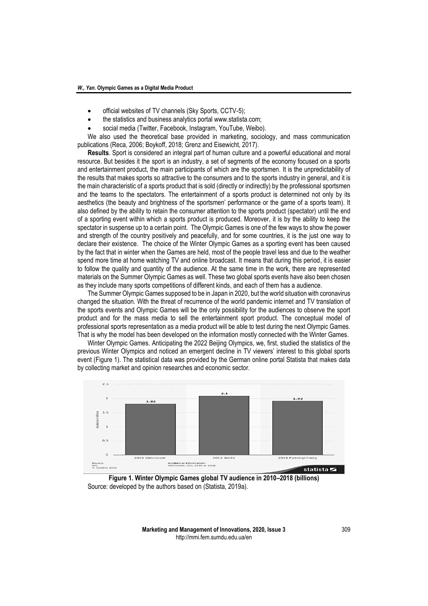- official websites of TV channels (Sky Sports, CCTV-5);
- the statistics and business analytics portal [www.statista.com;](http://www.statista.com/)
- social media (Twitter, Facebook, Instagram, YouTube, Weibo).

We also used the theoretical base provided in marketing, sociology, and mass communication publications (Reca, 2006; Boykoff, 2018; Grenz and Eisewicht, 2017).

**Results**. Sport is considered an integral part of human culture and a powerful educational and moral resource. But besides it the sport is an industry, a set of segments of the economy focused on a sports and entertainment product, the main participants of which are the sportsmen. It is the unpredictability of the results that makes sports so attractive to the consumers and to the sports industry in general, and it is the main characteristic of a sports product that is sold (directly or indirectly) by the professional sportsmen and the teams to the spectators. The entertainment of a sports product is determined not only by its aesthetics (the beauty and brightness of the sportsmen' performance or the game of a sports team). It also defined by the ability to retain the consumer attention to the sports product (spectator) until the end of a sporting event within which a sports product is produced. Moreover, it is by the ability to keep the spectator in suspense up to a certain point. The Olympic Games is one of the few ways to show the power and strength of the country positively and peacefully, and for some countries, it is the just one way to declare their existence. The choice of the Winter Olympic Games as a sporting event has been caused by the fact that in winter when the Games are held, most of the people travel less and due to the weather spend more time at home watching TV and online broadcast. It means that during this period, it is easier to follow the quality and quantity of the audience. At the same time in the work, there are represented materials on the Summer Olympic Games as well. These two global sports events have also been chosen as they include many sports competitions of different kinds, and each of them has a audience.

The Summer Olympic Games supposed to be in Japan in 2020, but the world situation with coronavirus changed the situation. With the threat of recurrence of the world pandemic internet and TV translation of the sports events and Olympic Games will be the only possibility for the audiences to observe the sport product and for the mass media to sell the entertainment sport product. The conceptual model of professional sports representation as a media product will be able to test during the next Olympic Games. That is why the model has been developed on the information mostly connected with the Winter Games.

Winter Olympic Games. Anticipating the 2022 Beijing Olympics, we, first, studied the statistics of the previous Winter Olympics and noticed an emergent decline in TV viewers' interest to this global sports event (Figure 1). The statistical data was provided by the German online portal Statista that makes data by collecting market and opinion researches and economic sector.



**Figure 1. Winter Olympic Games global TV audience in 2010–2018 (billions)** Source: developed by the authors based on (Statista, 2019a).

**Marketing and Management of Innovations, 2020, Issue 3** 309 http://mmi.fem.sumdu.edu.ua/en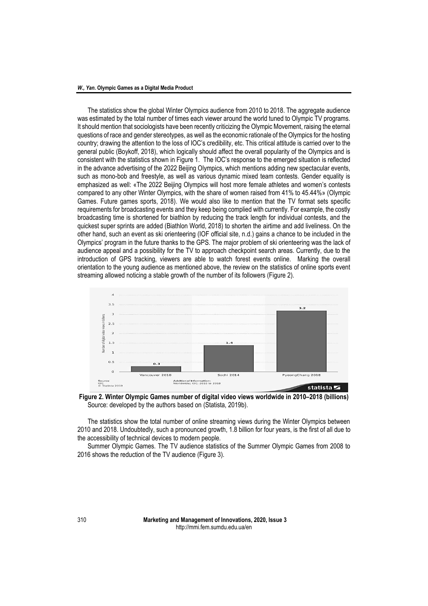The statistics show the global Winter Olympics audience from 2010 to 2018. The aggregate audience was estimated by the total number of times each viewer around the world tuned to Olympic TV programs. It should mention that sociologists have been recently criticizing the Olympic Movement, raising the eternal questions of race and gender stereotypes, as well as the economic rationale of the Olympics for the hosting country; drawing the attention to the loss of IOC's credibility, etc. This critical attitude is carried over to the general public (Boykoff, 2018), which logically should affect the overall popularity of the Olympics and is consistent with the statistics shown in Figure 1. The IOC's response to the emerged situation is reflected in the advance advertising of the 2022 Beijing Olympics, which mentions adding new spectacular events, such as mono-bob and freestyle, as well as various dynamic mixed team contests. Gender equality is emphasized as well: «The 2022 Beijing Olympics will host more female athletes and women's contests compared to any other Winter Olympics, with the share of women raised from 41% to 45.44%» (Olympic Games. Future games sports, 2018). We would also like to mention that the TV format sets specific requirements for broadcasting events and they keep being complied with currently. For example, the costly broadcasting time is shortened for biathlon by reducing the track length for individual contests, and the quickest super sprints are added (Biathlon World, 2018) to shorten the airtime and add liveliness. On the other hand, such an event as ski orienteering (IOF official site, n.d.) gains a chance to be included in the Olympics' program in the future thanks to the GPS. The major problem of ski orienteering was the lack of audience appeal and a possibility for the TV to approach checkpoint search areas. Currently, due to the introduction of GPS tracking, viewers are able to watch forest events online. Marking the overall orientation to the young audience as mentioned above, the review on the statistics of online sports event streaming allowed noticing a stable growth of the number of its followers (Figure 2).



**Figure 2. Winter Olympic Games number of digital video views worldwide in 2010–2018 (billions)** Source: developed by the authors based on (Statista, 2019b).

The statistics show the total number of online streaming views during the Winter Olympics between 2010 and 2018. Undoubtedly, such a pronounced growth, 1.8 billion for four years, is the first of all due to the accessibility of technical devices to modern people.

Summer Olympic Games*.* The TV audience statistics of the Summer Olympic Games from 2008 to 2016 shows the reduction of the TV audience (Figure 3).

310 **Marketing and Management of Innovations, 2020, Issue 3** http://mmi.fem.sumdu.edu.ua/en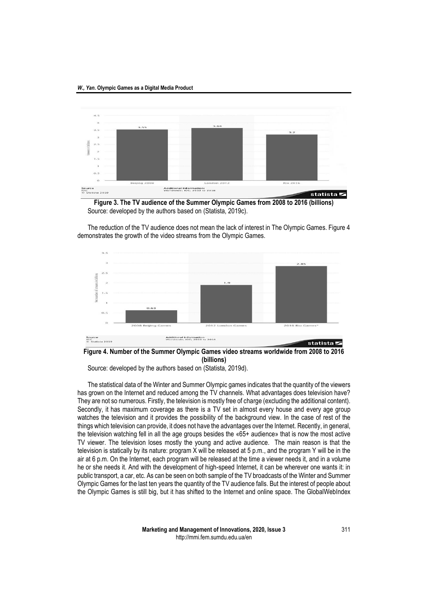

**Figure 3. The TV audience of the Summer Olympic Games from 2008 to 2016 (billions)** Source: developed by the authors based on (Statista, 2019c).

The reduction of the TV audience does not mean the lack of interest in The Olympic Games. Figure 4 demonstrates the growth of the video streams from the Olympic Games.



**Figure 4. Number of the Summer Olympic Games video streams worldwide from 2008 to 2016 (billions)**

Source: developed by the authors based on (Statista, 2019d).

The statistical data of the Winter and Summer Olympic games indicates that the quantity of the viewers has grown on the Internet and reduced among the TV channels. What advantages does television have? They are not so numerous. Firstly, the television is mostly free of charge (excluding the additional content). Secondly, it has maximum coverage as there is a TV set in almost every house and every age group watches the television and it provides the possibility of the background view. In the case of rest of the things which television can provide, it does not have the advantages over the Internet. Recently, in general, the television watching fell in all the age groups besides the «65+ audience» that is now the most active TV viewer. The television loses mostly the young and active audience. The main reason is that the television is statically by its nature: program X will be released at 5 p.m., and the program Y will be in the air at 6 p.m. On the Internet, each program will be released at the time a viewer needs it, and in a volume he or she needs it. And with the development of high-speed Internet, it can be wherever one wants it: in public transport, a car, etc. As can be seen on both sample of the TV broadcasts of the Winter and Summer Olympic Games for the last ten years the quantity of the TV audience falls. But the interest of people about the Olympic Games is still big, but it has shifted to the Internet and online space. The GlobalWebIndex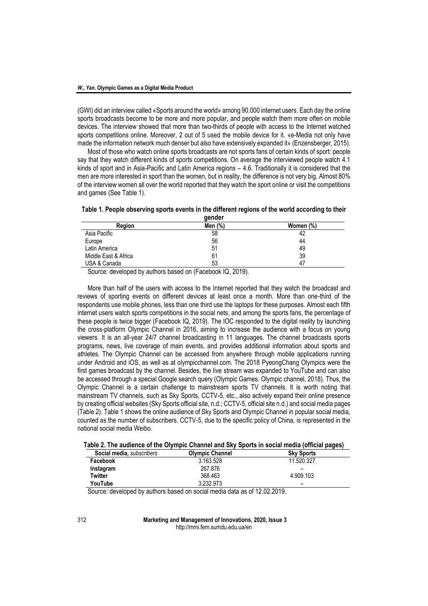(GWI) did an interview called «Sports around the world» among 90.000 internet users. Each day the online sports broadcasts become to be more and more popular, and people watch them more often on mobile devices. The interview showed that more than two-thirds of people with access to the Internet watched sports competitions online. Moreover, 2 out of 5 used the mobile device for it. «e-Media not only have made the information network much denser but also have extensively expanded it» (Enzensberger, 2015).

Most of those who watch online sports broadcasts are not sports fans of certain kinds of sport: people say that they watch different kinds of sports competitions. On average the interviewed people watch 4.1 kinds of sport and in Asia-Pacific and Latin America regions – 4.6. Traditionally it is considered that the men are more interested in sport than the women, but in reality, the difference is not very big. Almost 80% of the interview women all over the world reported that they watch the sport online or visit the competitions and games (See Table 1).

|  | Table 1. People observing sports events in the different regions of the world according to their |  |  |  |  |  |
|--|--------------------------------------------------------------------------------------------------|--|--|--|--|--|
|  |                                                                                                  |  |  |  |  |  |

| gender               |         |           |  |  |
|----------------------|---------|-----------|--|--|
| Reaion               | Men (%) | Women (%) |  |  |
| Asia Pacific         | 58      | 42        |  |  |
| Europe               | 56      | 44        |  |  |
| Latin America        | 51      | 49        |  |  |
| Middle East & Africa | 61      | 39        |  |  |
| USA & Canada         | 53      | 47        |  |  |

Source: developed by authors based on (Facebook IQ, 2019).

More than half of the users with access to the Internet reported that they watch the broadcast and reviews of sporting events on different devices at least once a month. More than one-third of the respondents use mobile phones, less than one third use the laptops for these purposes. Almost each fifth internet users watch sports competitions in the social nets, and among the sports fans, the percentage of these people is twice bigger (Facebook IQ, 2019). The IOC responded to the digital reality by launching the cross-platform Olympic Channel in 2016, aiming to increase the audience with a focus on young viewers. It is an all-year 24/7 channel broadcasting in 11 languages. The channel broadcasts sports programs, news, live coverage of main events, and provides additional information about sports and athletes. The Olympic Channel can be accessed from anywhere through mobile applications running under Android and iOS, as well as at olympicchannel.com. The 2018 PyeongChang Olympics were the first games broadcast by the channel. Besides, the live stream was expanded to YouTube and can also be accessed through a special Google search query (Olympic Games. Olympic channel, 2018). Thus, the Olympic Channel is a certain challenge to mainstream sports TV channels. It is worth noting that mainstream TV channels, such as Sky Sports, CCTV-5, etc., also actively expand their online presence by creating official websites (Sky Sports official site, n.d.; CCTV-5, official site n.d.) and social media pages (Table 2). Table 1 shows the online audience of Sky Sports and Olympic Channel in popular social media, counted as the number of subscribers. CCTV-5, due to the specific policy of China, is represented in the national social media Weibo.

| <b>Social media.</b> subscribers | <b>Olympic Channel</b> | <b>Sky Sports</b> |
|----------------------------------|------------------------|-------------------|
| Facebook                         | 3.163.528              | 11.520.327        |
| Instagram                        | 267.876                |                   |
| Twitter                          | 368.463                | 4.909.103         |
| YouTube                          | 3.232.973              | -                 |

Source: developed by authors based on social media data as of 12.02.2019.

312 **Marketing and Management of Innovations, 2020, Issue 3** http://mmi.fem.sumdu.edu.ua/en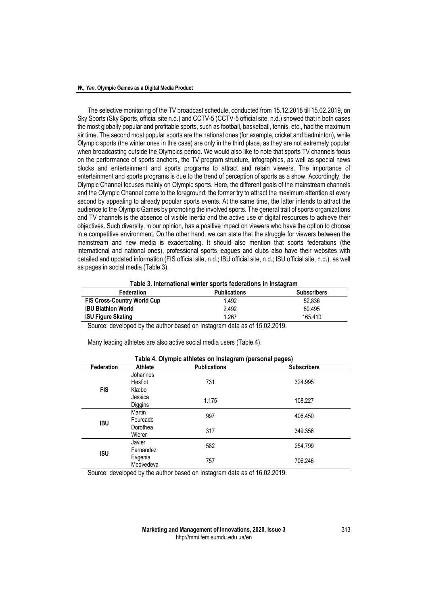The selective monitoring of the TV broadcast schedule, conducted from 15.12.2018 till 15.02.2019, on Sky Sports (Sky Sports, official site n.d.) and CCTV-5 (CCTV-5 official site, n.d.) showed that in both cases the most globally popular and profitable sports, such as football, basketball, tennis, etc., had the maximum air time. The second most popular sports are the national ones (for example, cricket and badminton), while Olympic sports (the winter ones in this case) are only in the third place, as they are not extremely popular when broadcasting outside the Olympics period. We would also like to note that sports TV channels focus on the performance of sports anchors, the TV program structure, infographics, as well as special news blocks and entertainment and sports programs to attract and retain viewers. The importance of entertainment and sports programs is due to the trend of perception of sports as a show. Accordingly, the Olympic Channel focuses mainly on Olympic sports. Here, the different goals of the mainstream channels and the Olympic Channel come to the foreground: the former try to attract the maximum attention at every second by appealing to already popular sports events. At the same time, the latter intends to attract the audience to the Olympic Games by promoting the involved sports. The general trait of sports organizations and TV channels is the absence of visible inertia and the active use of digital resources to achieve their objectives. Such diversity, in our opinion, has a positive impact on viewers who have the option to choose in a competitive environment. On the other hand, we can state that the struggle for viewers between the mainstream and new media is exacerbating. It should also mention that sports federations (the international and national ones), professional sports leagues and clubs also have their websites with detailed and updated information (FIS official site, n.d.; IBU official site, n.d.; ISU official site, n.d.), as well as pages in social media (Table 3).

**Table 3. International winter sports federations in Instagram**

| <b>Federation</b>                  | <b>Publications</b> | <b>Subscribers</b> |
|------------------------------------|---------------------|--------------------|
| <b>FIS Cross-Country World Cup</b> | 1.492               | 52.836             |
| <b>IBU Biathlon World</b>          | 2.492               | 80.495             |
| <b>ISU Figure Skating</b>          | 1.267               | 165.410            |

Source: developed by the author based on Instagram data as of 15.02.2019.

Many leading athletes are also active social media users (Table 4).

| Table 4. Olympic athletes on Instagram (personal pages) |                              |                     |                    |  |
|---------------------------------------------------------|------------------------------|---------------------|--------------------|--|
| Federation                                              | Athlete                      | <b>Publications</b> | <b>Subscribers</b> |  |
| <b>FIS</b>                                              | Johannes<br>Høsflot<br>Klæbo | 731                 | 324.995            |  |
|                                                         | Jessica<br>Diggins           | 1.175               | 108.227            |  |
| <b>IBU</b>                                              | Martin<br>Fourcade           | 997                 | 406.450            |  |
|                                                         | Dorothea<br>Wierer           | 317                 | 349.356            |  |
| <b>ISU</b>                                              | Javier<br>Fernandez          | 582                 | 254.799            |  |
|                                                         | Evgenia<br>Medvedeva         | 757                 | 706.246            |  |

Source: developed by the author based on Instagram data as of 16.02.2019.

## **Marketing and Management of Innovations, 2020, Issue 3** 313 http://mmi.fem.sumdu.edu.ua/en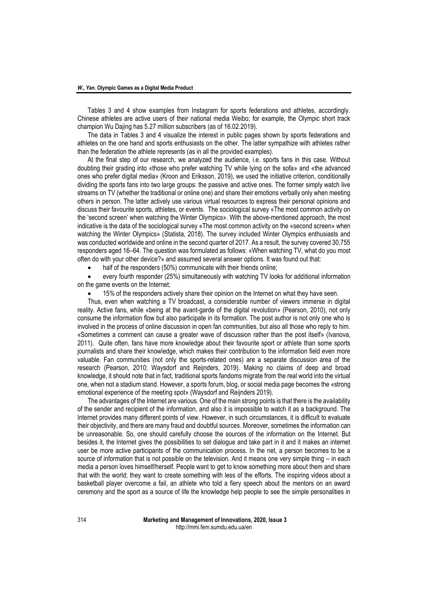Tables 3 and 4 show examples from Instagram for sports federations and athletes, accordingly. Chinese athletes are active users of their national media Weibo; for example, the Olympic short track champion Wu Dajing has 5.27 million subscribers (as of 16.02.2019).

The data in Tables 3 and 4 visualize the interest in public pages shown by sports federations and athletes on the one hand and sports enthusiasts on the other. The latter sympathize with athletes rather than the federation the athlete represents (as in all the provided examples).

At the final step of our research, we analyzed the audience, i.e. sports fans in this case. Without doubting their grading into «those who prefer watching TV while lying on the sofa» and «the advanced ones who prefer digital media» (Kroon and Eriksson, 2019), we used the initiative criterion, conditionally dividing the sports fans into two large groups: the passive and active ones. The former simply watch live streams on TV (whether the traditional or online one) and share their emotions verbally only when meeting others in person. The latter actively use various virtual resources to express their personal opinions and discuss their favourite sports, athletes, or events. The sociological survey «The most common activity on the 'second screen' when watching the Winter Olympics». With the above-mentioned approach, the most indicative is the data of the sociological survey «The most common activity on the «second screen» when watching the Winter Olympics» (Statista, 2018). The survey included Winter Olympics enthusiasts and was conducted worldwide and online in the second quarter of 2017. As a result, the survey covered 30,755 responders aged 16–64. The question was formulated as follows: «When watching TV, what do you most often do with your other device?» and assumed several answer options. It was found out that:

half of the responders (50%) communicate with their friends online;

 every fourth responder (25%) simultaneously with watching TV looks for additional information on the game events on the Internet;

15% of the responders actively share their opinion on the Internet on what they have seen.

Thus, even when watching a TV broadcast, a considerable number of viewers immerse in digital reality. Active fans, while «being at the avant-garde of the digital revolution» (Pearson, 2010), not only consume the information flow but also participate in its formation. The post author is not only one who is involved in the process of online discussion in open fan communities, but also all those who reply to him. «Sometimes a comment can cause a greater wave of discussion rather than the post itself» (Ivanova, 2011). Quite often, fans have more knowledge about their favourite sport or athlete than some sports journalists and share their knowledge, which makes their contribution to the information field even more valuable. Fan communities (not only the sports-related ones) are a separate discussion area of the research (Pearson, 2010; Waysdorf and Reijnders, 2019). Making no claims of deep and broad knowledge, it should note that in fact, traditional sports fandoms migrate from the real world into the virtual one, when not a stadium stand. However, a sports forum, blog, or social media page becomes the «strong emotional experience of the meeting spot» (Waysdorf and Reijnders 2019).

The advantages of the Internet are various. One of the main strong points is that there is the availability of the sender and recipient of the information, and also it is impossible to watch it as a background. The Internet provides many different points of view. However, in such circumstances, it is difficult to evaluate their objectivity, and there are many fraud and doubtful sources. Moreover, sometimes the information can be unreasonable. So, one should carefully choose the sources of the information on the Internet. But besides it, the Internet gives the possibilities to set dialogue and take part in it and it makes an internet user be more active participants of the communication process. In the net, a person becomes to be a source of information that is not possible on the television. And it means one very simple thing – in each media a person loves himself/herself. People want to get to know something more about them and share that with the world; they want to create something with less of the efforts. The inspiring videos about a basketball player overcome a fail, an athlete who told a fiery speech about the mentors on an award ceremony and the sport as a source of life the knowledge help people to see the simple personalities in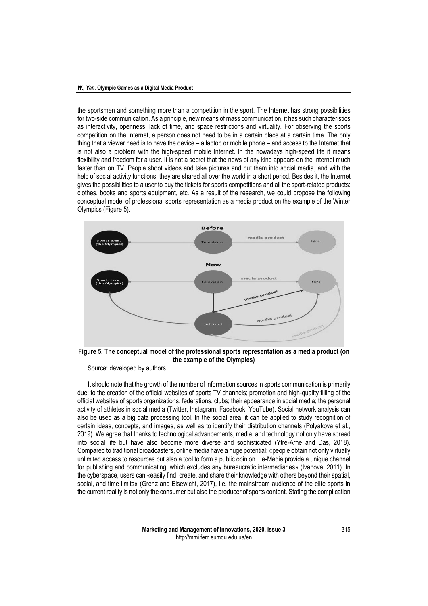the sportsmen and something more than a competition in the sport. The Internet has strong possibilities for two-side communication. As a principle, new means of mass communication, it has such characteristics as interactivity, openness, lack of time, and space restrictions and virtuality. For observing the sports competition on the Internet, a person does not need to be in a certain place at a certain time. The only thing that a viewer need is to have the device – a laptop or mobile phone – and access to the Internet that is not also a problem with the high-speed mobile Internet. In the nowadays high-speed life it means flexibility and freedom for a user. It is not a secret that the news of any kind appears on the Internet much faster than on TV. People shoot videos and take pictures and put them into social media, and with the help of social activity functions, they are shared all over the world in a short period. Besides it, the Internet gives the possibilities to a user to buy the tickets for sports competitions and all the sport-related products: clothes, books and sports equipment, etc. As a result of the research, we could propose the following conceptual model of professional sports representation as a media product on the example of the Winter Olympics (Figure 5).



**Figure 5. The conceptual model of the professional sports representation as a media product (on the example of the Olympics)**

Source: developed by authors.

It should note that the growth of the number of information sources in sports communication is primarily due: to the creation of the official websites of sports TV channels; promotion and high-quality filling of the official websites of sports organizations, federations, clubs; their appearance in social media; the personal activity of athletes in social media (Twitter, Instagram, Facebook, YouTube). Social network analysis can also be used as a big data processing tool. In the social area, it can be applied to study recognition of certain ideas, concepts, and images, as well as to identify their distribution channels (Polyakova et al., 2019). We agree that thanks to technological advancements, media, and technology not only have spread into social life but have also become more diverse and sophisticated (Ytre-Arne and Das, 2018). Compared to traditional broadcasters, online media have a huge potential: «people obtain not only virtually unlimited access to resources but also a tool to form a public opinion... e-Media provide a unique channel for publishing and communicating, which excludes any bureaucratic intermediaries» (Ivanova, 2011). In the cyberspace, users can «easily find, create, and share their knowledge with others beyond their spatial, social, and time limits» (Grenz and Eisewicht, 2017), i.e. the mainstream audience of the elite sports in the current reality is not only the consumer but also the producer of sports content. Stating the complication

> **Marketing and Management of Innovations, 2020, Issue 3** 315 http://mmi.fem.sumdu.edu.ua/en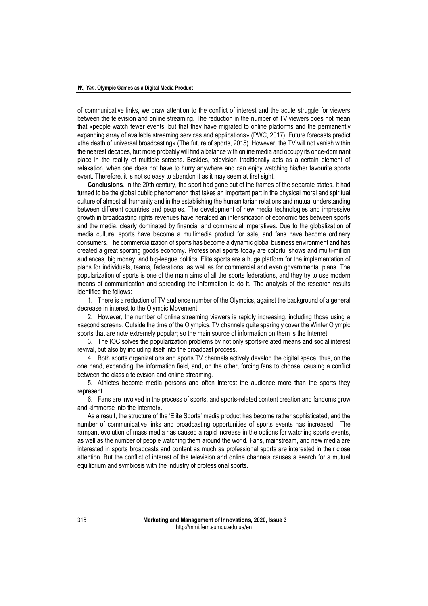of communicative links, we draw attention to the conflict of interest and the acute struggle for viewers between the television and online streaming. The reduction in the number of TV viewers does not mean that «people watch fewer events, but that they have migrated to online platforms and the permanently expanding array of available streaming services and applications» (PWC, 2017). Future forecasts predict «the death of universal broadcasting» (The future of sports, 2015). However, the TV will not vanish within the nearest decades, but more probably will find a balance with online media and occupy its once-dominant place in the reality of multiple screens. Besides, television traditionally acts as a certain element of relaxation, when one does not have to hurry anywhere and can enjoy watching his/her favourite sports event. Therefore, it is not so easy to abandon it as it may seem at first sight.

**Conclusions**. In the 20th century, the sport had gone out of the frames of the separate states. It had turned to be the global public phenomenon that takes an important part in the physical moral and spiritual culture of almost all humanity and in the establishing the humanitarian relations and mutual understanding between different countries and peoples. The development of new media technologies and impressive growth in broadcasting rights revenues have heralded an intensification of economic ties between sports and the media, clearly dominated by financial and commercial imperatives. Due to the globalization of media culture, sports have become a multimedia product for sale, and fans have become ordinary consumers. The commercialization of sports has become a dynamic global business environment and has created a great sporting goods economy. Professional sports today are colorful shows and multi-million audiences, big money, and big-league politics. Elite sports are a huge platform for the implementation of plans for individuals, teams, federations, as well as for commercial and even governmental plans. The popularization of sports is one of the main aims of all the sports federations, and they try to use modern means of communication and spreading the information to do it. The analysis of the research results identified the follows:

1. There is a reduction of TV audience number of the Olympics, against the background of a general decrease in interest to the Olympic Movement.

2. However, the number of online streaming viewers is rapidly increasing, including those using a «second screen». Outside the time of the Olympics, TV channels quite sparingly cover the Winter Olympic sports that are note extremely popular; so the main source of information on them is the Internet.

3. The IOC solves the popularization problems by not only sports-related means and social interest revival, but also by including itself into the broadcast process.

4. Both sports organizations and sports TV channels actively develop the digital space, thus, on the one hand, expanding the information field, and, on the other, forcing fans to choose, causing a conflict between the classic television and online streaming.

5. Athletes become media persons and often interest the audience more than the sports they represent.

6. Fans are involved in the process of sports, and sports-related content creation and fandoms grow and «immerse into the Internet».

As a result, the structure of the 'Elite Sports' media product has become rather sophisticated, and the number of communicative links and broadcasting opportunities of sports events has increased. The rampant evolution of mass media has caused a rapid increase in the options for watching sports events, as well as the number of people watching them around the world. Fans, mainstream, and new media are interested in sports broadcasts and content as much as professional sports are interested in their close attention. But the conflict of interest of the television and online channels causes a search for a mutual equilibrium and symbiosis with the industry of professional sports.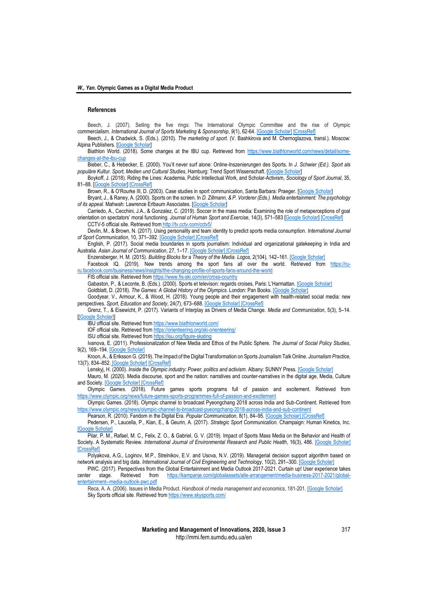### **References**

Beech, J. (2007). Selling the five rings: The International Olympic Committee and the rise of Olympic commercialism. *International Journal of Sports Marketing & Sponsorship*, *9*(1), 62-64[. \[Google Scholar\]](https://scholar.google.com/scholar?cluster=6855274656523012165&hl=ru&as_sdt=0,5) [\[CrossRef\]](https://doi.org/10.1108/IJSMS-09-01-2007-B008)

Beech, J., & Chadwick, S. (Eds.). (2010). *The marketing of sport.* (V. Bashkirova and M. Chernoglazova, transl.). Moscow: Alpina Publishers. [\[Google Scholar\]](https://scholar.google.com/scholar?hl=ru&as_sdt=0%2C5&scioq=%D0%BC%D0%B0%D1%80%D0%BA%D0%B5%D1%82%D0%B8%D0%BD%D0%B3+%D1%81%D0%BF%D0%BE%D1%80%D1%82%D0%B0+%D0%B0%D0%BB%D1%8C%D0%BF%D0%B8%D0%BD%D0%B0&q=%D0%B1%D0%B8%D1%87+%D1%87%D0%B5%D0%B4%D0%B2%D0%B8%D0%BA+%D0%BC%D0%B0%D1%80%D0%BA%D0%B5%D1%82%D0%B8%D0%BD%D0%B3+%D1%81%D0%BF%D0%BE%D1%80%D1%82%D0%B0+2010&btnG=)

Biathlon World. (2018). Some changes at the IBU cup. Retrieved from [https://www.biathlonworld.com/news/detail/some](https://www.biathlonworld.com/news/detail/some-changes-at-the-ibu-cup)[changes-at-the-ibu-cup](https://www.biathlonworld.com/news/detail/some-changes-at-the-ibu-cup)

Bieber, C., & Hebecker, E. (2000). You'll never surf alone: Online-Inszenierungen des Sports. In *J. Schwier (Ed.). Sport als populäre Kultur. Sport, Medien und Cultural Studies*, Hamburg: Trend Sport Wissenschaft. [\[Google Scholar\]](https://scholar.google.com/scholar?q=Ballensiefen%2C%20Moritz%20%26%20J%C3%B6rg-Uwe%20Nieland%20%282007%29%3A%20Talkshowisierung%20des%20Fu%C3%9Fballs.%20Der%20Volkssport%20in%20den%20Fesseln%20des%20Fernsehens.%20In%3A%20Mittag%2C%20J%C3%BCrgen%20%26%20J%C3%B6rg-Uwe%20Nieland%20%28Hrsg.%29%3A%20Das%20Spiel%20mit%20dem%20Fu%C3%9Fball.%20Essen%3A%20Klartext.%20325%E2%80%93347)

Boykoff, J. (2018). Riding the Lines: Academia, Public Intellectual Work, and Scholar-Activism, *Sociology of Sport Journal*, 35, 81–88. [\[Google Scholar\]](https://scholar.google.com/scholar?hl=ru&as_sdt=0%2C5&scioq=%D0%BC%D0%B0%D1%80%D0%BA%D0%B5%D1%82%D0%B8%D0%BD%D0%B3+%D1%81%D0%BF%D0%BE%D1%80%D1%82%D0%B0+%D0%B0%D0%BB%D1%8C%D0%BF%D0%B8%D0%BD%D0%B0&q=Boykoff%2C+J.+%282018%29.+Riding+the+Lines&btnG=) [\[CrossRef\]](https://doi.org/10.1123/ssj.2018-0017)

Brown, R., & O'Rourke III, D. (2003). Case studies in sport communication, Santa Barbara: Praeger. [\[Google Scholar\]](https://scholar.google.com/scholar?hl=ru&as_sdt=0%2C5&scioq=%D0%BC%D0%B0%D1%80%D0%BA%D0%B5%D1%82%D0%B8%D0%BD%D0%B3+%D1%81%D0%BF%D0%BE%D1%80%D1%82%D0%B0+%D0%B0%D0%BB%D1%8C%D0%BF%D0%B8%D0%BD%D0%B0&q=Brown%2C+R.+and+O%E2%80%99Rourke+III%2C+D.+%282003%29.+Case+studies+in+sport+communication&btnG=)

Bryant, J., & Raney, A. (2000). Sports on the screen. In *D. Zillmann, & P. Vorderer (Eds.). Media entertainment: The psychology of its appeal*. Mahwah: Lawrence Erlbaum Associates. [\[Google Scholar\]](https://scholar.google.com/scholar?hl=ru&as_sdt=0%2C5&scioq=%D0%BC%D0%B0%D1%80%D0%BA%D0%B5%D1%82%D0%B8%D0%BD%D0%B3+%D1%81%D0%BF%D0%BE%D1%80%D1%82%D0%B0+%D0%B0%D0%BB%D1%8C%D0%BF%D0%B8%D0%BD%D0%B0&q=Bryant%2C+J.+and+Raney%2C+A.+%282000%29.+Sports+on+the+screen&btnG=)

Carriedo, A., Cecchini, J.A., & Gonzalez, C. (2019). Soccer in the mass media: Examining the role of metaperceptions of goal orientation on spectators' moral functioning. *Journal of Human Sport and Exercise*, 14(3), 571–583 [\[Google Scholar\]](https://scholar.google.com/scholar?hl=ru&as_sdt=0%2C5&scioq=%D0%BC%D0%B0%D1%80%D0%BA%D0%B5%D1%82%D0%B8%D0%BD%D0%B3+%D1%81%D0%BF%D0%BE%D1%80%D1%82%D0%B0+%D0%B0%D0%BB%D1%8C%D0%BF%D0%B8%D0%BD%D0%B0&q=Carriedo%2C+A.%2C+Cecchini%2C+J.A.+and+Gonz%C3%A1lez%2C+C.+%282019%29.+Soccer&btnG=) [\[CrossRef\]](https://doi.org/10.14198/jhse.2019.143.08) CCTV-5 official site. Retrieved from <http://tv.cctv.com/cctv5/>

Devlin, M., & Brown, N. (2017). Using personality and team identity to predict sports media consumption. *International Journal of Sport Communication*, 10, 371–392[. \[Google Scholar\]](https://scholar.google.com/scholar?hl=ru&as_sdt=0%2C5&scioq=%D0%BC%D0%B0%D1%80%D0%BA%D0%B5%D1%82%D0%B8%D0%BD%D0%B3+%D1%81%D0%BF%D0%BE%D1%80%D1%82%D0%B0+%D0%B0%D0%BB%D1%8C%D0%BF%D0%B8%D0%BD%D0%B0&q=Devlin%2C+M.+and+Brown%2C+N.+%282017%29.+Using+personality+and+team+identity&btnG=) [\[CrossRef\]](https://doi.org/10.1123/ijsc.2017-0050)

English, P. (2017). Social media boundaries in sports journalism: Individual and organizational gatekeeping in India and Australia. *Asian Journal of Communication*, 27, 1–17. [\[Google Scholar\]](https://scholar.google.com/scholar?cluster=15483377957534232040&hl=ru&as_sdt=0,5&scioq=%D0%BC%D0%B0%D1%80%D0%BA%D0%B5%D1%82%D0%B8%D0%BD%D0%B3+%D1%81%D0%BF%D0%BE%D1%80%D1%82%D0%B0+%D0%B0%D0%BB%D1%8C%D0%BF%D0%B8%D0%BD%D0%B0) [\[CrossRef\]](https://doi.org/10.1080/01292986.2017.1284876)

Enzensberger, H. M. (2015). *Building Blocks for a Theory of the Media*. *Logos*, 2(104), 142–161[. \[Google Scholar\]](https://scholar.google.com/scholar?hl=ru&as_sdt=0%2C5&scioq=%D0%BC%D0%B0%D1%80%D0%BA%D0%B5%D1%82%D0%B8%D0%BD%D0%B3+%D1%81%D0%BF%D0%BE%D1%80%D1%82%D0%B0+%D0%B0%D0%BB%D1%8C%D0%BF%D0%B8%D0%BD%D0%B0&q=%D1%8D%D0%BD%D1%86%D0%B5%D0%BD%D1%81%D0%B1%D0%B5%D1%80%D0%B3%D0%B5%D1%80+%D1%81%D1%82%D1%80%D0%BE%D0%B8%D1%82%D0%B5%D0%BB%D1%8C%D0%BD%D1%8B%D0%B9+%D0%BC%D0%B0%D1%82%D0%B5%D1%80%D0%B8%D0%B0%D0%BB&oq=%D1%8D%D0%BD%D1%86%D0%B5%D0%BD%D1%81%D0%B1%D0%B5%D1%80%D0%B3%D0%B5%D1%80+%D1%81%D1%82%D1%80%D0%BE%D0%B8%D1%82%D0%B5%D0%BB%D1%8C%D0%BD%D1%8B%D0%B9+%D0%BC%D0%B0)

Facebook IQ. (2019). New trends among the sport fans all over the world. Retrieved from [https://ru](https://ru-ru.facebook.com/business/news/insights/the-changing-profile-of-sports-fans-around-the-world)[ru.facebook.com/business/news/insights/the-changing-profile-of-sports-fans-around-the-world](https://ru-ru.facebook.com/business/news/insights/the-changing-profile-of-sports-fans-around-the-world)

FIS official site. Retrieved fro[m https://www.fis-ski.com/en/cross-country](https://www.fis-ski.com/en/cross-country)

Gabaston, P., & Leconte, B. (Eds.). (2000). Sports et televison: regards croises, Paris: L'Harmattan. [\[Google Scholar\]](https://scholar.google.com/scholar?hl=ru&as_sdt=0,5&scioq=%D0%BC%D0%B0%D1%80%D0%BA%D0%B5%D1%82%D0%B8%D0%BD%D0%B3+%D1%81%D0%BF%D0%BE%D1%80%D1%82%D0%B0+%D0%B0%D0%BB%D1%8C%D0%BF%D0%B8%D0%BD%D0%B0&q=Gabaston,+P.+and+Leconte,+B.+(Eds.).+(2000).+Sports+et+t%C3%A9l%C3%A9vision)

Goldblatt, D. (2018). *The Games: A Global History of the Olympics*. London: Pan Books. [\[Google Scholar\]](https://scholar.google.com/scholar?hl=ru&as_sdt=0%2C5&scioq=%D0%BC%D0%B0%D1%80%D0%BA%D0%B5%D1%82%D0%B8%D0%BD%D0%B3+%D1%81%D0%BF%D0%BE%D1%80%D1%82%D0%B0+%D0%B0%D0%BB%D1%8C%D0%BF%D0%B8%D0%BD%D0%B0&q=Goldblatt%2C+D.+%282018%29.+The+Games%3A+A+Global+History+of+the+Olympics&btnG=)

Goodyear, V., Armour, K., & Wood, H. (2018). Young people and their engagement with health-related social media: new perspectives. *Sport, Education and Society*, 24(7), 673–688[. \[Google Scholar\]](https://scholar.google.com/scholar?hl=ru&as_sdt=0%2C5&scioq=%D0%BC%D0%B0%D1%80%D0%BA%D0%B5%D1%82%D0%B8%D0%BD%D0%B3+%D1%81%D0%BF%D0%BE%D1%80%D1%82%D0%B0+%D0%B0%D0%BB%D1%8C%D0%BF%D0%B8%D0%BD%D0%B0&q=Goodyear%2C+V.%2C+Armour%2C+K..+and+Wood%2C+H.+%282018%29.+Young+people&btnG=) [\[CrossRef\]](https://doi.org/10.1080/13573322.2017.1423464)

Grenz, T., & Eisewicht, P. (2017). Variants of Interplay as Drivers of Media Change. *Media and Communication*, 5(3), 5–14. [\[\[Google Scholar\]\]](https://scholar.google.com/scholar?hl=ru&as_sdt=0%2C5&scioq=%D0%BC%D0%B0%D1%80%D0%BA%D0%B5%D1%82%D0%B8%D0%BD%D0%B3+%D1%81%D0%BF%D0%BE%D1%80%D1%82%D0%B0+%D0%B0%D0%BB%D1%8C%D0%BF%D0%B8%D0%BD%D0%B0&q=Grenz%2C+T.+and+Eisewicht%2C+P.+%282017%29.+Variants+of+Interplay&btnG=)

IBU official site. Retrieved fro[m https://www.biathlonworld.com/](https://www.biathlonworld.com/)

IOF official site. Retrieved fro[m https://orienteering.org/ski-orienteering/](https://orienteering.org/ski-orienteering/)

ISU official site. Retrieved fro[m https://isu.org/figure-skating](https://isu.org/figure-skating)

Ivanova, E. (2011). Professionalization of New Media and Ethos of the Public Sphere. *The Journal of Social Policy Studies*, 9(2), 169–194[. \[Google Scholar\]](https://scholar.google.com/scholar?hl=ru&as_sdt=0%2C5&scioq=%D0%BC%D0%B0%D1%80%D0%BA%D0%B5%D1%82%D0%B8%D0%BD%D0%B3+%D1%81%D0%BF%D0%BE%D1%80%D1%82%D0%B0+%D0%B0%D0%BB%D1%8C%D0%BF%D0%B8%D0%BD%D0%B0&q=Ivanova%2C+E.+%282011%29.+Professionalization+of+New+Media&btnG=)

Kroon, A., & Eriksson G. (2019). The Impact of the Digital Transformation on Sports Journalism Talk Online. *Journalism Practice*, 13(7), 834–852. [\[Google Scholar\]](https://scholar.google.com/scholar?hl=ru&as_sdt=0%2C5&scioq=%D0%BC%D0%B0%D1%80%D0%BA%D0%B5%D1%82%D0%B8%D0%BD%D0%B3+%D1%81%D0%BF%D0%BE%D1%80%D1%82%D0%B0+%D0%B0%D0%BB%D1%8C%D0%BF%D0%B8%D0%BD%D0%B0&q=Kroon%2C+%C3%85.%2C+and+Eriksson+G.+%282019%29.+The+Impact+of+the+Digital+Transformation+on+Sports+Journalism&btnG=) [\[CrossRef\]](https://www.tandfonline.com/action/showCitFormats?doi=10.1080/17512786.2019.1577695)

Lenskyj, H. (2000). *Inside the Olympic industry: Power, politics and activism*. Albany: SUNNY Press[. \[Google Scholar\]](https://scholar.google.com/scholar?hl=ru&as_sdt=0%2C5&scioq=%D0%BC%D0%B0%D1%80%D0%BA%D0%B5%D1%82%D0%B8%D0%BD%D0%B3+%D1%81%D0%BF%D0%BE%D1%80%D1%82%D0%B0+%D0%B0%D0%BB%D1%8C%D0%BF%D0%B8%D0%BD%D0%B0&q=Lenskyj%2C+H.+%282000%29.+Inside+the+Olympic+industry&btnG=)

Mauro, M. (2020). Media discourse, sport and the nation: narratives and counter-narratives in the digital age, Media, Culture and Society[. \[Google Scholar\]](https://scholar.google.com/scholar?hl=ru&as_sdt=0%2C5&scioq=%D0%BC%D0%B0%D1%80%D0%BA%D0%B5%D1%82%D0%B8%D0%BD%D0%B3+%D1%81%D0%BF%D0%BE%D1%80%D1%82%D0%B0+%D0%B0%D0%BB%D1%8C%D0%BF%D0%B8%D0%BD%D0%B0&q=Mauro%2C+M.+%282020%29.+Media+discourse%2C+sport+and+the+nation&btnG=) [\[CrossRef\]](https://doi.org/10.1177/0163443720902910)

Olympic Games. (2018). Future games sports programs full of passion and excitement. Retrieved from <https://www.olympic.org/news/future-games-sports-programmes-full-of-passion-and-excitement>

Olympic Games. (2018). Olympic channel to broadcast Pyeongchang 2018 across India and Sub-Continent. Retrieved from <https://www.olympic.org/news/olympic-channel-to-broadcast-pyeongchang-2018-across-india-and-sub-continent>

Pearson, R. (2010). Fandom in the Digital Era. *Popular Communication*, 8(1), 84–95[. \[Google Scholar\]](https://scholar.google.com/scholar?hl=ru&as_sdt=0%2C5&scioq=%D0%BC%D0%B0%D1%80%D0%BA%D0%B5%D1%82%D0%B8%D0%BD%D0%B3+%D1%81%D0%BF%D0%BE%D1%80%D1%82%D0%B0+%D0%B0%D0%BB%D1%8C%D0%BF%D0%B8%D0%BD%D0%B0&q=Pearson%2C+R.+%282010%29.+Fandom+in+the+Digital+Era&btnG=) [\[CrossRef\]](https://doi.org/10.1080/15405700903502346)

Pedersen, P., Laucella, P., Kian, E., & Geurin, A. (2017). *Strategic Sport Communication.* Champaign: Human Kinetics, Inc. [\[Google Scholar\]](https://scholar.google.com/scholar?hl=ru&as_sdt=0%2C5&scioq=%D0%BC%D0%B0%D1%80%D0%BA%D0%B5%D1%82%D0%B8%D0%BD%D0%B3+%D1%81%D0%BF%D0%BE%D1%80%D1%82%D0%B0+%D0%B0%D0%BB%D1%8C%D0%BF%D0%B8%D0%BD%D0%B0&q=Pedersen%2C+P.%2C+Laucella%2C+P.%2C+Kian%2C+E.+and+Geurin%2C+A.+%282017%29.+Strategic+Sport+Communication&btnG=)

Pilar, P. M., Rafael, M. C., Felix, Z. O., & Gabriel, G. V. (2019). Impact of Sports Mass Media on the Behavior and Health of Society. A Systematic Review. *International Journal of Environmental Research and Public Health*, 16(3), 486. [\[Google Scholar\]](https://scholar.google.com/scholar?hl=ru&as_sdt=0%2C5&scioq=%D0%BC%D0%B0%D1%80%D0%BA%D0%B5%D1%82%D0%B8%D0%BD%D0%B3+%D1%81%D0%BF%D0%BE%D1%80%D1%82%D0%B0+%D0%B0%D0%BB%D1%8C%D0%BF%D0%B8%D0%BD%D0%B0&q=Pilar%2C+P.M.%2C+Rafael%2C+M.C.%2C+F%C3%A9lix%2C+Z.O.+and+Gabriel%2C+G.V.+%282019%29.+Impact+of+Sports+Mass+Media&btnG=) **[\[CrossRef\]](https://doi.org/10.3390/ijerph16030486)** 

Polyakova, A.G., Loginov, M.P., Strelnikov, E.V. and Usova, N.V. (2019). Managerial decision support algorithm based on network analysis and big data. *International Journal of Civil Engineering and Technology*, 10(2), 291–300[. \[Google Scholar\]](https://scholar.google.com/scholar?cluster=12031462036483649042&hl=ru&as_sdt=0,5)

PWC. (2017). Perspectives from the Global Entertainment and Media Outlook 2017-2021. Curtain up! User experience takes center stage. Retrieved from [https://kampanje.com/globalassets/alle-arrangement/media-business-2017-2021/global](https://kampanje.com/globalassets/alle-arrangement/media-business-2017-2021/global-entertainment--media-outlook-pwc.pdf)[entertainment--media-outlook-pwc.pdf](https://kampanje.com/globalassets/alle-arrangement/media-business-2017-2021/global-entertainment--media-outlook-pwc.pdf)

Reca, A. A. (2006). Issues in Media Product. *Handbook of media management and economics*, 181-201. [\[Google Scholar\]](https://scholar.google.com/scholar?hl=ru&as_sdt=0%2C5&scioq=%D0%BC%D0%B0%D1%80%D0%BA%D0%B5%D1%82%D0%B8%D0%BD%D0%B3+%D1%81%D0%BF%D0%BE%D1%80%D1%82%D0%B0+%D0%B0%D0%BB%D1%8C%D0%BF%D0%B8%D0%BD%D0%B0&q=Reca%2C+A.A.+%282005%29.+Issues+in+media+product+management&btnG=) Sky Sports official site. Retrieved fro[m https://www.skysports.com/](https://www.skysports.com/)